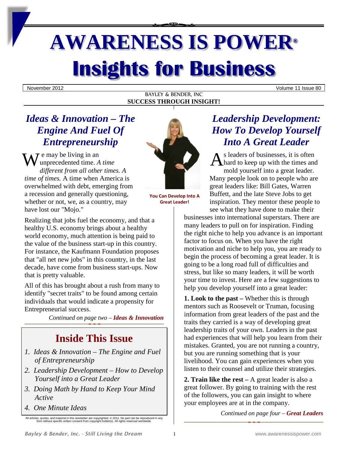# **AWARENESS IS POWER® Insights for Business**

November 2012 Volume 11 Issue 80

#### BAYLEY & BENDER, INC **SUCCESS THROUGH INSIGHT!**

# *Ideas & Innovation – The Engine And Fuel Of Entrepreneurship*

 $\tau$  e may be living in an  $W$ <sup>e</sup> may be living in an <br>unprecedented time. *A time*  $A$  **and**  $A$ *different from all other times. A time of times.* A time when America is overwhelmed with debt, emerging from a recession and generally questioning, whether or not, we, as a country, may have lost our "Mojo."

Realizing that jobs fuel the economy, and that a healthy U.S. economy brings about a healthy world economy, much attention is being paid to the value of the business start-up in this country. For instance, the Kaufmann Foundation proposes that "all net new jobs" in this country, in the last decade, have come from business start-ups. Now that is pretty valuable.

All of this has brought about a rush from many to identify "secret traits" to be found among certain individuals that would indicate a propensity for Entrepreneurial success.

*Continued on page two – Ideas & Innovation*

# **Inside This Issue**

- *1. Ideas & Innovation – The Engine and Fuel of Entrepreneurship*
- *2. Leadership Development – How to Develop Yourself into a Great Leader*
- *3. Doing Math by Hand to Keep Your Mind Active*
- *4. One Minute Ideas*



**You Can Develop Into A Great Leader!**

# *Leadership Development: How To Develop Yourself Into A Great Leader*

s leaders of businesses, it is often  $\bigwedge$  hard to keep up with the times and mold yourself into a great leader. Many people look on to people who are great leaders like: Bill Gates, Warren Buffett, and the late Steve Jobs to get inspiration. They mentor these people to see what they have done to make their

businesses into international superstars. There are many leaders to pull on for inspiration. Finding the right niche to help you advance is an important factor to focus on. When you have the right motivation and niche to help you, you are ready to begin the process of becoming a great leader. It is going to be a long road full of difficulties and stress, but like so many leaders, it will be worth your time to invest. Here are a few suggestions to help you develop yourself into a great leader:

**1. Look to the past –** Whether this is through mentors such as Roosevelt or Truman, focusing information from great leaders of the past and the traits they carried is a way of developing great leadership traits of your own. Leaders in the past had experiences that will help you learn from their mistakes. Granted, you are not running a country, but you are running something that is your livelihood. You can gain experiences when you listen to their counsel and utilize their strategies.

**2. Train like the rest –** A great leader is also a great follower. By going to training with the rest of the followers, you can gain insight to where your employees are at in the company.

*Continued on page four – Great Leaders*

All articles, quotes, and material in this newsletter are copyrighted. © 2012. No part can be reproduced in any form without specific written consent from copyright holder(s). All rights reserved worldwide.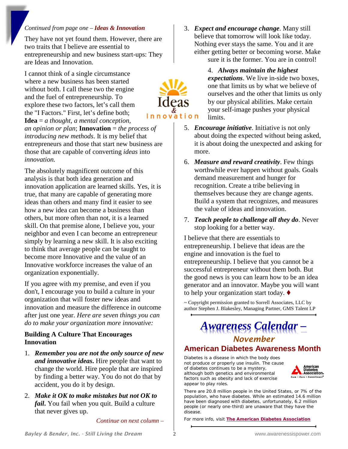## *Continued from page one – Ideas & Innovation*

They have not yet found them. However, there are two traits that I believe are essential to entrepreneurship and new business start-ups: They are Ideas and Innovation.

I cannot think of a single circumstance where a new business has been started without both. I call these two the engine and the fuel of entrepreneurship. To explore these two factors, let's call them the "I Factors." First, let's define both; **Idea** = *a thought, a mental conception, an opinion or plan*; **Innovation** = *the process of introducing new methods*. It is my belief that entrepreneurs and those that start new business are those that are capable of converting *ideas* into *innovation.* 

The absolutely magnificent outcome of this analysis is that both idea generation and innovation application are learned skills. Yes, it is true, that many are capable of generating more ideas than others and many find it easier to see how a new idea can become a business than others, but more often than not, it is a learned skill. On that premise alone, I believe you, your neighbor and even I can become an entrepreneur simply by learning a new skill. It is also exciting to think that average people can be taught to become more Innovative and the value of an Innovative workforce increases the value of an organization exponentially.

If you agree with my premise, and even if you don't, I encourage you to build a culture in your organization that will foster new ideas and innovation and measure the difference in outcome after just one year. *Here are seven things you can do to make your organization more innovative:*

### **Building A Culture That Encourages Innovation**

- 1. *Remember you are not the only source of new and innovative ideas***.** Hire people that want to change the world. Hire people that are inspired by finding a better way. You do not do that by accident, you do it by design.
- 2. *Make it OK to make mistakes but not OK to fail***.** You fail when you quit. Build a culture that never gives up.

*Continue on next column –*

3. *Expect and encourage change*. Many still believe that tomorrow will look like today. Nothing ever stays the same. You and it are either getting better or becoming worse. Make sure it is the former. You are in control!

> 4. *Always maintain the highest expectations*. We live in-side two boxes, one that limits us by what we believe of ourselves and the other that limits us only by our physical abilities. Make certain your self-image pushes your physical limits.

- 5. *Encourage initiative*. Initiative is not only about doing the expected without being asked, it is about doing the unexpected and asking for more.
- 6. *Measure and reward creativity*. Few things worthwhile ever happen without goals. Goals demand measurement and hunger for recognition. Create a tribe believing in themselves because they are change agents. Build a system that recognizes, and measures the value of ideas and innovation.
- 7. *Teach people to challenge all they do*. Never stop looking for a better way.

I believe that there are essentials to entrepreneurship. I believe that ideas are the engine and innovation is the fuel to entrepreneurship. I believe that you cannot be a successful entrepreneur without them both. But the good news is you can learn how to be an idea generator and an innovator. Maybe you will want to help your organization start today.

~ Copyright permission granted to Sorrell Associates, LLC by author Stephen J. Blakesley, Managing Partner, GMS Talent LP

# *Awareness Calendar – November*

## **American Diabetes Awareness Month**

Diabetes is a disease in which the body does not produce or properly use insulin. The cause of diabetes continues to be a mystery, although both genetics and environmental factors such as obesity and lack of exercise appear to play roles.



There are 20.8 million people in the United States, or 7% of the population, who have diabetes. While an estimated 14.6 million have been diagnosed with diabetes, unfortunately, 6.2 million people (or nearly one-third) are unaware that they have the disease.

For more info, visit **[The American Diabetes Association](http://www.diabetes.org/in-my-community/programs/american-diabetes-month/)**

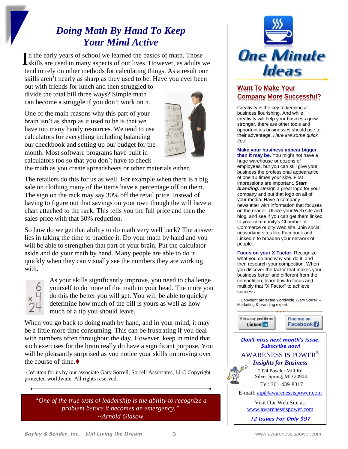# *Doing Math By Hand To Keep Your Mind Active*

In the early years of school we learned the basics of math. Those In the early years of school we learned the basics of math. Those<br>skills are used in many aspects of our lives. However, as adults we tend to rely on other methods for calculating things. As a result our skills aren't nearly as sharp as they used to be. Have you ever been

out with friends for lunch and then struggled to divide the total bill three ways? Simple math can become a struggle if you don't work on it.

One of the main reasons why this part of your brain isn't as sharp as it used to be is that we have too many handy resources. We tend to use calculators for everything including balancing our checkbook and setting up our budget for the month. Most software programs have built in calculators too so that you don't have to check



the math as you create spreadsheets or other materials either.

The retailers do this for us as well. For example when there is a big sale on clothing many of the items have a percentage off on them. The sign on the rack may say 30% off the retail price. Instead of having to figure out that savings on your own though the will have a chart attached to the rack. This tells you the full price and then the sales price with that 30% reduction.

So how do we get that ability to do math very well back? The answer lies in taking the time to practice it. Do your math by hand and you will be able to strengthen that part of your brain. Put the calculator aside and do your math by hand. Many people are able to do it quickly when they can visually see the numbers they are working with.



As your skills significantly improve, you need to challenge yourself to do more of the math in your head. The more you do this the better you will get. You will be able to quickly determine how much of the bill is yours as well as how much of a tip you should leave.

When you go back to doing math by hand, and in your mind, it may be a little more time consuming. This can be frustrating if you deal with numbers often throughout the day. However, keep in mind that such exercises for the brain really do have a significant purpose. You will be pleasantly surprised as you notice your skills improving over the course of time.

~ Written for us by our associate Gary Sorrell, Sorrell Associates, LLC Copyright protected worldwide. All rights reserved.

*"One of the true tests of leadership is the ability to recognize a problem before it becomes an emergency." ~Arnold Glasow*



## **Want To Make Your Company More Successful?**

Creativity is the key to keeping a business flourishing. And while creativity will help your business grow stronger, there are other tools and opportunities businesses should use to their advantage. *Here are some quick tips:*

#### **Make your business appear bigger**

**than it may be.** You might not have a huge warehouse or dozens of employees, but you can still give your business the professional appearance of one 10 times your size. First impressions are important. *Start branding.* Design a great logo for your company and put that logo on all of your media. Have a company newsletter with information that focuses on the reader. Utilize your Web site and blog, and see if you can get them linked to your community's Chamber of Commerce or city Web site. Join social networking sites like Facebook and LinkedIn to broaden your network of people.

**Focus on your X Factor.** Recognize what you do and why you do it, and then research your competition. When you discover the factor that makes your business better and different from the competition, learn how to focus and multiply that "X Factor" to achieve success.

~ Copyright protected worldwide. Gary Sorrell – Marketing & branding expert.